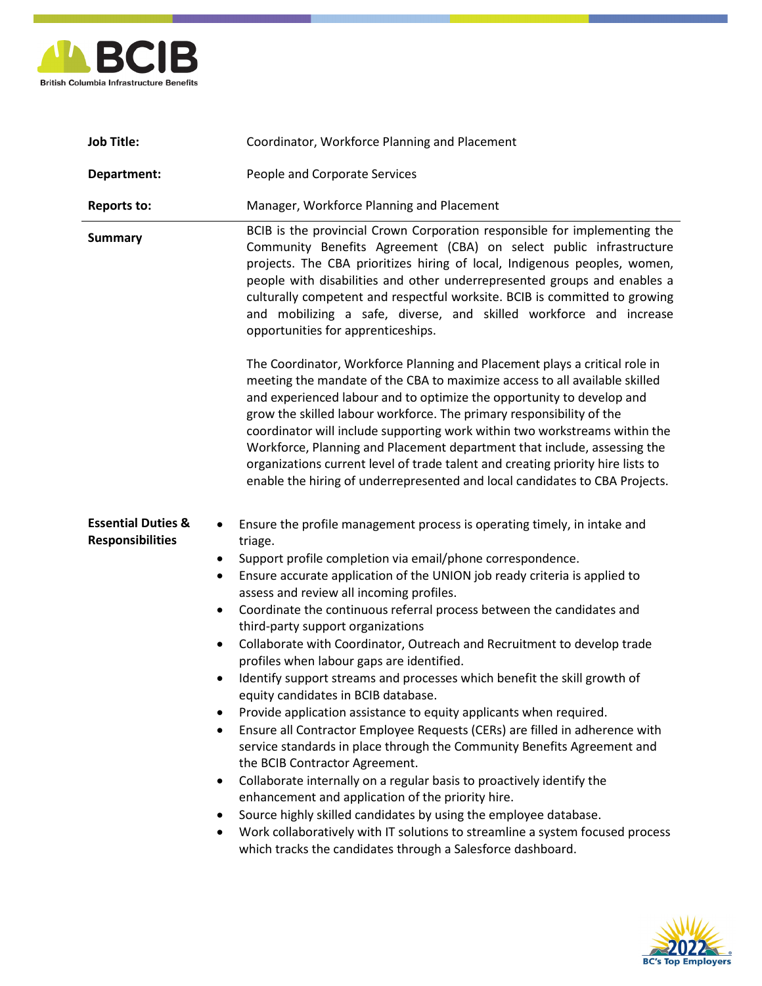

| <b>Job Title:</b>                                        | Coordinator, Workforce Planning and Placement                                                                                                                                                                                                                                                                                                                                                                                                                                                                                                                                                                                                                                                                                                                                                                                                                                                                                                                                                                                                                                                                                                                                                                                                                                                                                                          |
|----------------------------------------------------------|--------------------------------------------------------------------------------------------------------------------------------------------------------------------------------------------------------------------------------------------------------------------------------------------------------------------------------------------------------------------------------------------------------------------------------------------------------------------------------------------------------------------------------------------------------------------------------------------------------------------------------------------------------------------------------------------------------------------------------------------------------------------------------------------------------------------------------------------------------------------------------------------------------------------------------------------------------------------------------------------------------------------------------------------------------------------------------------------------------------------------------------------------------------------------------------------------------------------------------------------------------------------------------------------------------------------------------------------------------|
| Department:                                              | People and Corporate Services                                                                                                                                                                                                                                                                                                                                                                                                                                                                                                                                                                                                                                                                                                                                                                                                                                                                                                                                                                                                                                                                                                                                                                                                                                                                                                                          |
| <b>Reports to:</b>                                       | Manager, Workforce Planning and Placement                                                                                                                                                                                                                                                                                                                                                                                                                                                                                                                                                                                                                                                                                                                                                                                                                                                                                                                                                                                                                                                                                                                                                                                                                                                                                                              |
| <b>Summary</b>                                           | BCIB is the provincial Crown Corporation responsible for implementing the<br>Community Benefits Agreement (CBA) on select public infrastructure<br>projects. The CBA prioritizes hiring of local, Indigenous peoples, women,<br>people with disabilities and other underrepresented groups and enables a<br>culturally competent and respectful worksite. BCIB is committed to growing<br>and mobilizing a safe, diverse, and skilled workforce and increase<br>opportunities for apprenticeships.<br>The Coordinator, Workforce Planning and Placement plays a critical role in<br>meeting the mandate of the CBA to maximize access to all available skilled<br>and experienced labour and to optimize the opportunity to develop and<br>grow the skilled labour workforce. The primary responsibility of the<br>coordinator will include supporting work within two workstreams within the<br>Workforce, Planning and Placement department that include, assessing the<br>organizations current level of trade talent and creating priority hire lists to<br>enable the hiring of underrepresented and local candidates to CBA Projects.                                                                                                                                                                                                            |
| <b>Essential Duties &amp;</b><br><b>Responsibilities</b> | Ensure the profile management process is operating timely, in intake and<br>٠<br>triage.<br>Support profile completion via email/phone correspondence.<br>$\bullet$<br>Ensure accurate application of the UNION job ready criteria is applied to<br>$\bullet$<br>assess and review all incoming profiles.<br>Coordinate the continuous referral process between the candidates and<br>$\bullet$<br>third-party support organizations<br>Collaborate with Coordinator, Outreach and Recruitment to develop trade<br>$\bullet$<br>profiles when labour gaps are identified.<br>Identify support streams and processes which benefit the skill growth of<br>٠<br>equity candidates in BCIB database.<br>Provide application assistance to equity applicants when required.<br>٠<br>Ensure all Contractor Employee Requests (CERs) are filled in adherence with<br>$\bullet$<br>service standards in place through the Community Benefits Agreement and<br>the BCIB Contractor Agreement.<br>Collaborate internally on a regular basis to proactively identify the<br>٠<br>enhancement and application of the priority hire.<br>Source highly skilled candidates by using the employee database.<br>٠<br>Work collaboratively with IT solutions to streamline a system focused process<br>٠<br>which tracks the candidates through a Salesforce dashboard. |